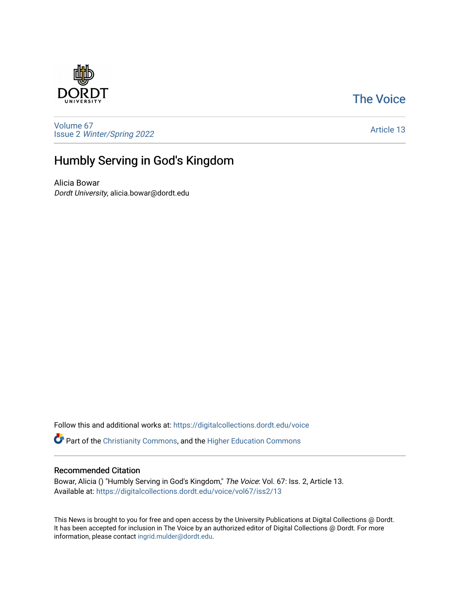### [The Voice](https://digitalcollections.dordt.edu/voice)



[Volume 67](https://digitalcollections.dordt.edu/voice/vol67) Issue 2 [Winter/Spring 2022](https://digitalcollections.dordt.edu/voice/vol67/iss2) 

#### [Article 13](https://digitalcollections.dordt.edu/voice/vol67/iss2/13)

## Humbly Serving in God's Kingdom

Alicia Bowar Dordt University, alicia.bowar@dordt.edu

Follow this and additional works at: [https://digitalcollections.dordt.edu/voice](https://digitalcollections.dordt.edu/voice?utm_source=digitalcollections.dordt.edu%2Fvoice%2Fvol67%2Fiss2%2F13&utm_medium=PDF&utm_campaign=PDFCoverPages) 

Part of the [Christianity Commons,](http://network.bepress.com/hgg/discipline/1181?utm_source=digitalcollections.dordt.edu%2Fvoice%2Fvol67%2Fiss2%2F13&utm_medium=PDF&utm_campaign=PDFCoverPages) and the [Higher Education Commons](http://network.bepress.com/hgg/discipline/1245?utm_source=digitalcollections.dordt.edu%2Fvoice%2Fvol67%2Fiss2%2F13&utm_medium=PDF&utm_campaign=PDFCoverPages) 

#### Recommended Citation

Bowar, Alicia () "Humbly Serving in God's Kingdom," The Voice: Vol. 67: Iss. 2, Article 13. Available at: [https://digitalcollections.dordt.edu/voice/vol67/iss2/13](https://digitalcollections.dordt.edu/voice/vol67/iss2/13?utm_source=digitalcollections.dordt.edu%2Fvoice%2Fvol67%2Fiss2%2F13&utm_medium=PDF&utm_campaign=PDFCoverPages)

This News is brought to you for free and open access by the University Publications at Digital Collections @ Dordt. It has been accepted for inclusion in The Voice by an authorized editor of Digital Collections @ Dordt. For more information, please contact [ingrid.mulder@dordt.edu.](mailto:ingrid.mulder@dordt.edu)